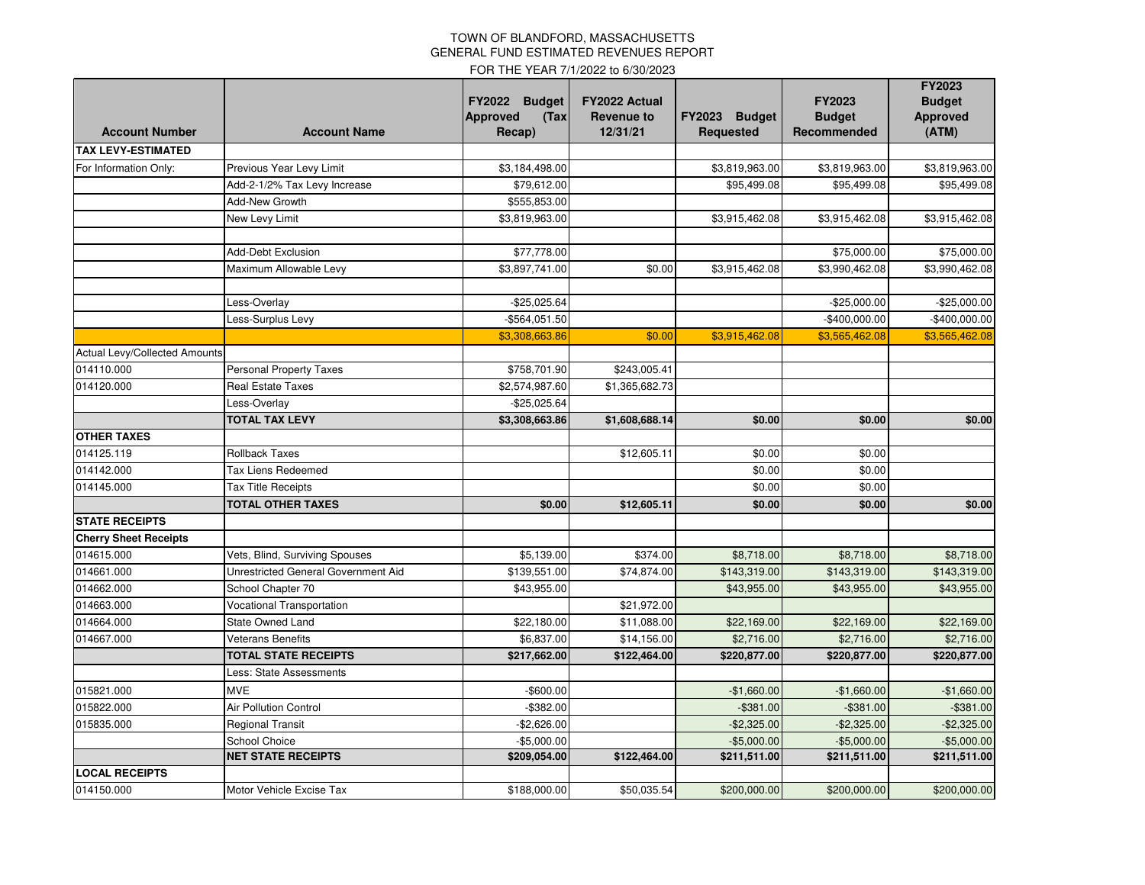## TOWN OF BLANDFORD, MASSACHUSETTS GENERAL FUND ESTIMATED REVENUES REPORT

FOR THE YEAR 7/1/2022 to 6/30/2023

| <b>Account Number</b>         | <b>Account Name</b>                 | <b>FY2022</b><br><b>Budget</b><br><b>Approved</b><br>(Tax)<br>Recap) | FY2022 Actual<br><b>Revenue to</b><br>12/31/21 | FY2023 Budget<br>Requested | <b>FY2023</b><br><b>Budget</b><br>Recommended | FY2023<br><b>Budget</b><br><b>Approved</b><br>(ATM) |
|-------------------------------|-------------------------------------|----------------------------------------------------------------------|------------------------------------------------|----------------------------|-----------------------------------------------|-----------------------------------------------------|
| <b>TAX LEVY-ESTIMATED</b>     |                                     |                                                                      |                                                |                            |                                               |                                                     |
| For Information Only:         | Previous Year Levy Limit            | \$3,184,498.00                                                       |                                                | \$3,819,963.00             | \$3,819,963.00                                | \$3,819,963.00                                      |
|                               | Add-2-1/2% Tax Levy Increase        | \$79,612.00                                                          |                                                | \$95,499.08                | \$95,499.08                                   | \$95,499.08                                         |
|                               | Add-New Growth                      | \$555,853.00                                                         |                                                |                            |                                               |                                                     |
|                               | New Levy Limit                      | \$3,819,963.00                                                       |                                                | \$3,915,462.08             | \$3,915,462.08                                | \$3,915,462.08                                      |
|                               |                                     |                                                                      |                                                |                            |                                               |                                                     |
|                               | <b>Add-Debt Exclusion</b>           | \$77,778.00                                                          |                                                |                            | \$75,000.00                                   | \$75,000.00                                         |
|                               | Maximum Allowable Levy              | \$3,897,741.00                                                       | \$0.00                                         | \$3,915,462.08             | \$3,990,462.08                                | \$3,990,462.08                                      |
|                               |                                     |                                                                      |                                                |                            |                                               |                                                     |
|                               | Less-Overlay                        | -\$25,025.64                                                         |                                                |                            | $-$25,000.00$                                 | $-$ \$25,000.00                                     |
|                               | Less-Surplus Levy                   | -\$564,051.50                                                        |                                                |                            | $-$400,000.00$                                | -\$400,000.00                                       |
|                               |                                     | \$3,308,663.86                                                       | \$0.00                                         | \$3,915,462.08             | \$3,565,462.08                                | \$3,565,462.08                                      |
| Actual Levy/Collected Amounts |                                     |                                                                      |                                                |                            |                                               |                                                     |
| 014110.000                    | <b>Personal Property Taxes</b>      | \$758,701.90                                                         | \$243,005.41                                   |                            |                                               |                                                     |
| 014120.000                    | <b>Real Estate Taxes</b>            | \$2,574,987.60                                                       | \$1,365,682.73                                 |                            |                                               |                                                     |
|                               | Less-Overlay                        | $-$ \$25,025.64                                                      |                                                |                            |                                               |                                                     |
|                               | <b>TOTAL TAX LEVY</b>               | \$3,308,663.86                                                       | \$1,608,688.14                                 | \$0.00                     | \$0.00                                        | \$0.00                                              |
| <b>OTHER TAXES</b>            |                                     |                                                                      |                                                |                            |                                               |                                                     |
| 014125.119                    | Rollback Taxes                      |                                                                      | \$12,605.11                                    | \$0.00                     | \$0.00                                        |                                                     |
| 014142.000                    | <b>Tax Liens Redeemed</b>           |                                                                      |                                                | \$0.00                     | \$0.00                                        |                                                     |
| 014145.000                    | Tax Title Receipts                  |                                                                      |                                                | \$0.00                     | \$0.00                                        |                                                     |
|                               | <b>TOTAL OTHER TAXES</b>            | \$0.00                                                               | \$12,605.11                                    | \$0.00                     | \$0.00                                        | \$0.00                                              |
| <b>STATE RECEIPTS</b>         |                                     |                                                                      |                                                |                            |                                               |                                                     |
| <b>Cherry Sheet Receipts</b>  |                                     |                                                                      |                                                |                            |                                               |                                                     |
| 014615.000                    | Vets, Blind, Surviving Spouses      | \$5,139.00                                                           | \$374.00                                       | \$8,718.00                 | \$8,718.00                                    | \$8,718.00                                          |
| 014661.000                    | Unrestricted General Government Aid | \$139,551.00                                                         | \$74,874.00                                    | \$143,319.00               | \$143,319.00                                  | \$143,319.00                                        |
| 014662.000                    | School Chapter 70                   | \$43,955.00                                                          |                                                | \$43,955.00                | \$43,955.00                                   | \$43,955.00                                         |
| 014663.000                    | <b>Vocational Transportation</b>    |                                                                      | \$21,972.00                                    |                            |                                               |                                                     |
| 014664.000                    | <b>State Owned Land</b>             | \$22,180.00                                                          | \$11,088.00                                    | \$22,169.00                | \$22,169.00                                   | \$22,169.00                                         |
| 014667.000                    | <b>Veterans Benefits</b>            | \$6,837.00                                                           | \$14,156.00                                    | \$2,716.00                 | \$2,716.00                                    | \$2,716.00                                          |
|                               | <b>TOTAL STATE RECEIPTS</b>         | \$217,662.00                                                         | \$122,464.00                                   | \$220,877.00               | \$220,877.00                                  | \$220,877.00                                        |
|                               | Less: State Assessments             |                                                                      |                                                |                            |                                               |                                                     |
| 015821.000                    | <b>MVE</b>                          | $-$600.00$                                                           |                                                | $-$1,660.00$               | $-$1,660.00$                                  | $-$1,660.00$                                        |
| 015822.000                    | <b>Air Pollution Control</b>        | $-$ \$382.00                                                         |                                                | $-$381.00$                 | $-$ \$381.00                                  | $-$ \$381.00                                        |
| 015835.000                    | Regional Transit                    | $-$2,626.00$                                                         |                                                | $-$2,325.00$               | $-$2,325.00$                                  | $-$ \$2,325.00                                      |
|                               | School Choice                       | $-$5,000.00$                                                         |                                                | $-$5,000.00$               | $-$5,000.00$                                  | $-$5,000.00$                                        |
|                               | <b>NET STATE RECEIPTS</b>           | \$209,054.00                                                         | \$122,464.00                                   | \$211,511.00               | \$211,511.00                                  | \$211,511.00                                        |
| <b>LOCAL RECEIPTS</b>         |                                     |                                                                      |                                                |                            |                                               |                                                     |
| 014150.000                    | Motor Vehicle Excise Tax            | \$188,000.00                                                         | \$50,035.54                                    | \$200,000.00               | \$200,000.00                                  | \$200,000.00                                        |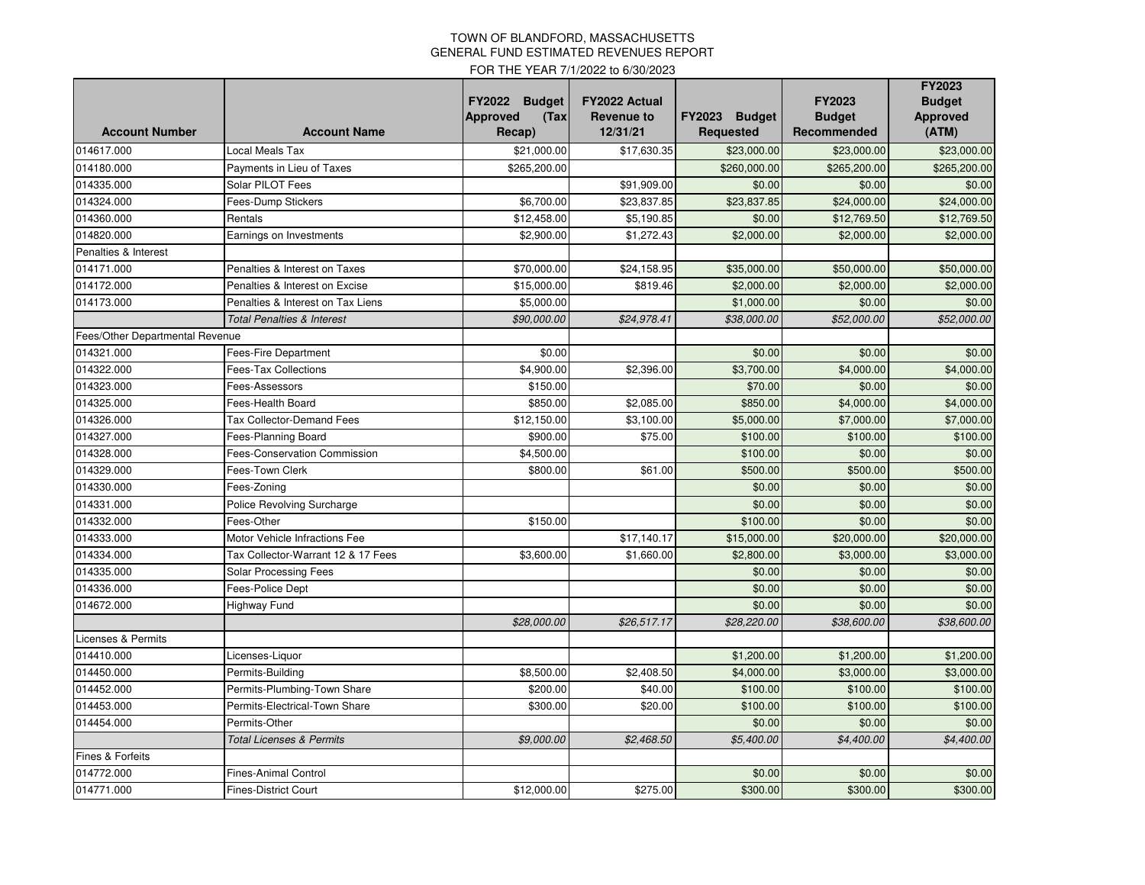## TOWN OF BLANDFORD, MASSACHUSETTS GENERAL FUND ESTIMATED REVENUES REPORT

FOR THE YEAR 7/1/2022 to 6/30/2023

| <b>Account Number</b>           | <b>Account Name</b>                   | <b>FY2022</b><br><b>Budget</b><br><b>Approved</b><br>(Tax)<br>Recap) | <b>FY2022 Actual</b><br><b>Revenue to</b><br>12/31/21 | FY2023 Budget<br><b>Requested</b> | FY2023<br><b>Budget</b><br>Recommended | FY2023<br><b>Budget</b><br><b>Approved</b><br>(ATM) |
|---------------------------------|---------------------------------------|----------------------------------------------------------------------|-------------------------------------------------------|-----------------------------------|----------------------------------------|-----------------------------------------------------|
| 014617.000                      |                                       |                                                                      |                                                       |                                   | \$23,000.00                            |                                                     |
|                                 | Local Meals Tax                       | \$21,000.00                                                          | \$17,630.35                                           | \$23,000.00                       |                                        | \$23,000.00                                         |
| 014180.000                      | Payments in Lieu of Taxes             | \$265,200.00                                                         |                                                       | \$260,000.00                      | \$265,200.00                           | \$265,200.00                                        |
| 014335.000                      | Solar PILOT Fees                      |                                                                      | \$91,909.00                                           | \$0.00                            | \$0.00                                 | \$0.00                                              |
| 014324.000                      | Fees-Dump Stickers                    | \$6,700.00                                                           | \$23.837.85                                           | \$23.837.85                       | \$24,000.00                            | \$24,000.00                                         |
| 014360.000                      | Rentals                               | \$12,458.00                                                          | \$5,190.85                                            | \$0.00                            | \$12,769.50                            | \$12,769.50                                         |
| 014820.000                      | Earnings on Investments               | \$2,900.00                                                           | \$1,272.43                                            | \$2,000.00                        | \$2,000.00                             | \$2,000.00                                          |
| Penalties & Interest            |                                       |                                                                      |                                                       |                                   |                                        |                                                     |
| 014171.000                      | Penalties & Interest on Taxes         | \$70,000.00                                                          | \$24,158.95                                           | \$35,000.00                       | \$50,000.00                            | \$50,000.00                                         |
| 014172.000                      | Penalties & Interest on Excise        | \$15,000.00                                                          | \$819.46                                              | \$2,000.00                        | \$2,000.00                             | \$2,000.00                                          |
| 014173.000                      | Penalties & Interest on Tax Liens     | \$5,000.00                                                           |                                                       | \$1,000.00                        | \$0.00                                 | \$0.00                                              |
|                                 | <b>Total Penalties &amp; Interest</b> | \$90,000.00                                                          | \$24,978.41                                           | \$38,000.00                       | \$52,000.00                            | \$52,000.00                                         |
| Fees/Other Departmental Revenue |                                       |                                                                      |                                                       |                                   |                                        |                                                     |
| 014321.000                      | <b>Fees-Fire Department</b>           | \$0.00                                                               |                                                       | \$0.00                            | \$0.00                                 | \$0.00                                              |
| 014322.000                      | <b>Fees-Tax Collections</b>           | \$4,900.00                                                           | \$2,396.00                                            | \$3,700.00                        | \$4,000.00                             | \$4,000.00                                          |
| 014323.000                      | Fees-Assessors                        | \$150.00                                                             |                                                       | \$70.00                           | \$0.00                                 | \$0.00                                              |
| 014325.000                      | Fees-Health Board                     | \$850.00                                                             | \$2,085.00                                            | \$850.00                          | \$4,000.00                             | \$4,000.00                                          |
| 014326.000                      | <b>Tax Collector-Demand Fees</b>      | \$12,150.00                                                          | \$3,100.00                                            | \$5,000.00                        | \$7,000.00                             | \$7,000.00                                          |
| 014327.000                      | Fees-Planning Board                   | \$900.00                                                             | \$75.00                                               | \$100.00                          | \$100.00                               | \$100.00                                            |
| 014328.000                      | <b>Fees-Conservation Commission</b>   | \$4,500.00                                                           |                                                       | \$100.00                          | \$0.00                                 | \$0.00                                              |
| 014329.000                      | Fees-Town Clerk                       | \$800.00                                                             | \$61.00                                               | \$500.00                          | \$500.00                               | \$500.00                                            |
| 014330.000                      | Fees-Zoning                           |                                                                      |                                                       | \$0.00                            | \$0.00                                 | \$0.00                                              |
| 014331.000                      | Police Revolving Surcharge            |                                                                      |                                                       | \$0.00                            | \$0.00                                 | \$0.00                                              |
| 014332.000                      | Fees-Other                            | \$150.00                                                             |                                                       | \$100.00                          | \$0.00                                 | \$0.00                                              |
| 014333.000                      | Motor Vehicle Infractions Fee         |                                                                      | \$17,140.17                                           | \$15,000.00                       | \$20,000.00                            | \$20,000.00                                         |
| 014334.000                      | Tax Collector-Warrant 12 & 17 Fees    | \$3,600.00                                                           | \$1,660.00                                            | \$2,800.00                        | \$3,000.00                             | \$3,000.00                                          |
| 014335.000                      | <b>Solar Processing Fees</b>          |                                                                      |                                                       | \$0.00                            | \$0.00                                 | \$0.00                                              |
| 014336.000                      | Fees-Police Dept                      |                                                                      |                                                       | \$0.00                            | \$0.00                                 | \$0.00                                              |
| 014672.000                      | Highway Fund                          |                                                                      |                                                       | \$0.00                            | \$0.00                                 | \$0.00                                              |
|                                 |                                       | \$28,000.00                                                          | \$26,517.17                                           | \$28,220.00                       | \$38,600.00                            | \$38,600.00                                         |
| Licenses & Permits              |                                       |                                                                      |                                                       |                                   |                                        |                                                     |
| 014410.000                      | Licenses-Liquor                       |                                                                      |                                                       | \$1,200.00                        | \$1,200.00                             | \$1,200.00                                          |
| 014450.000                      | Permits-Building                      | \$8,500.00                                                           | \$2,408.50                                            | \$4,000.00                        | \$3,000.00                             | \$3,000.00                                          |
| 014452.000                      | Permits-Plumbing-Town Share           | \$200.00                                                             | \$40.00                                               | \$100.00                          | \$100.00                               | \$100.00                                            |
| 014453.000                      | Permits-Electrical-Town Share         | \$300.00                                                             | \$20.00                                               | \$100.00                          | \$100.00                               | \$100.00                                            |
| 014454.000                      | Permits-Other                         |                                                                      |                                                       | \$0.00                            | \$0.00                                 | \$0.00                                              |
|                                 | <b>Total Licenses &amp; Permits</b>   | \$9,000.00                                                           | \$2,468.50                                            | \$5,400.00                        | \$4,400.00                             | \$4,400.00                                          |
| Fines & Forfeits                |                                       |                                                                      |                                                       |                                   |                                        |                                                     |
| 014772.000                      | <b>Fines-Animal Control</b>           |                                                                      |                                                       | \$0.00                            | \$0.00                                 | \$0.00                                              |
| 014771.000                      | <b>Fines-District Court</b>           | \$12,000.00                                                          | \$275.00                                              | \$300.00                          | \$300.00                               | \$300.00                                            |